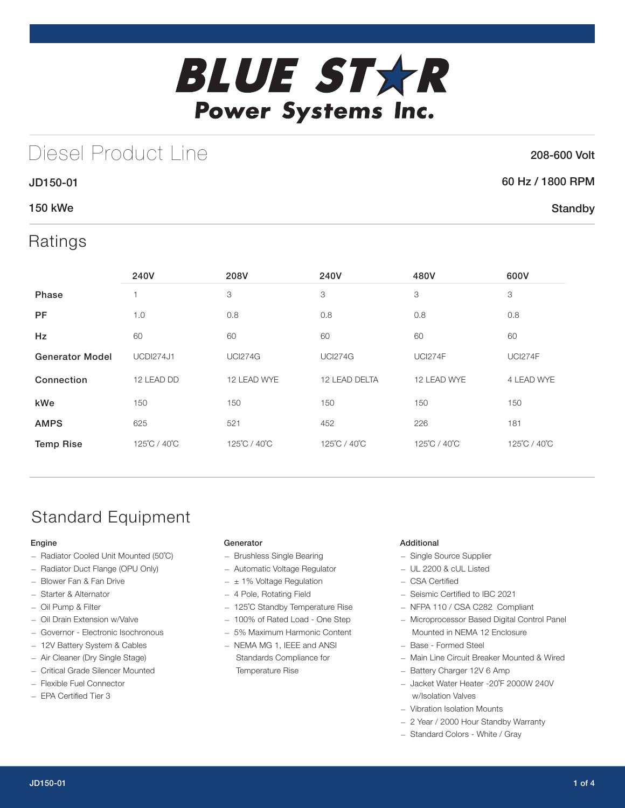

# Diesel Product Line

### 208-600 Volt

### JD150-01 60 Hz / 1800 RPM **Standby**

### 150 kWe

### Ratings

|                        | 240V             | 208V           | 240V                         | 480V           | 600V           |
|------------------------|------------------|----------------|------------------------------|----------------|----------------|
| <b>Phase</b>           |                  | 3              | 3                            | 3              | 3              |
| <b>PF</b>              | 1.0              | 0.8            | 0.8                          | 0.8            |                |
| Hz                     | 60               | 60             | 60                           | 60             | 60             |
| <b>Generator Model</b> | <b>UCDI274J1</b> | <b>UCI274G</b> | <b>UCI274G</b>               | <b>UCI274F</b> | <b>UCI274F</b> |
| Connection             | 12 LEAD DD       | 12 LEAD WYE    | 12 LEAD DELTA<br>12 LEAD WYE |                | 4 LEAD WYE     |
| kWe                    | 150              | 150            | 150                          | 150            | 150            |
| <b>AMPS</b>            | 625              | 521            | 452                          | 226            | 181            |
| <b>Temp Rise</b>       | 125°C / 40°C     | 125°C / 40°C   | 125°C / 40°C                 | 125°C / 40°C   | 125°C / 40°C   |

# Standard Equipment

#### Engine

- Radiator Cooled Unit Mounted (50˚C)
- Radiator Duct Flange (OPU Only)
- Blower Fan & Fan Drive
- Starter & Alternator
- Oil Pump & Filter — Oil Drain Extension w/Valve
- 
- Governor Electronic Isochronous
- 12V Battery System & Cables
- Air Cleaner (Dry Single Stage) — Critical Grade Silencer Mounted
- Flexible Fuel Connector
- EPA Certified Tier 3
- 

#### Generator

- Brushless Single Bearing
- Automatic Voltage Regulator
- $\pm$  1% Voltage Regulation
- 4 Pole, Rotating Field
- 125˚C Standby Temperature Rise
- 100% of Rated Load One Step
- 5% Maximum Harmonic Content
- NEMA MG 1, IEEE and ANSI Standards Compliance for Temperature Rise

#### Additional

- Single Source Supplier
- UL 2200 & cUL Listed
- CSA Certified
- Seismic Certified to IBC 2021
- NFPA 110 / CSA C282 Compliant
- Microprocessor Based Digital Control Panel Mounted in NEMA 12 Enclosure
- Base Formed Steel
- Main Line Circuit Breaker Mounted & Wired
- Battery Charger 12V 6 Amp
- Jacket Water Heater -20˚F 2000W 240V w/Isolation Valves
- Vibration Isolation Mounts
- 2 Year / 2000 Hour Standby Warranty
- Standard Colors White / Gray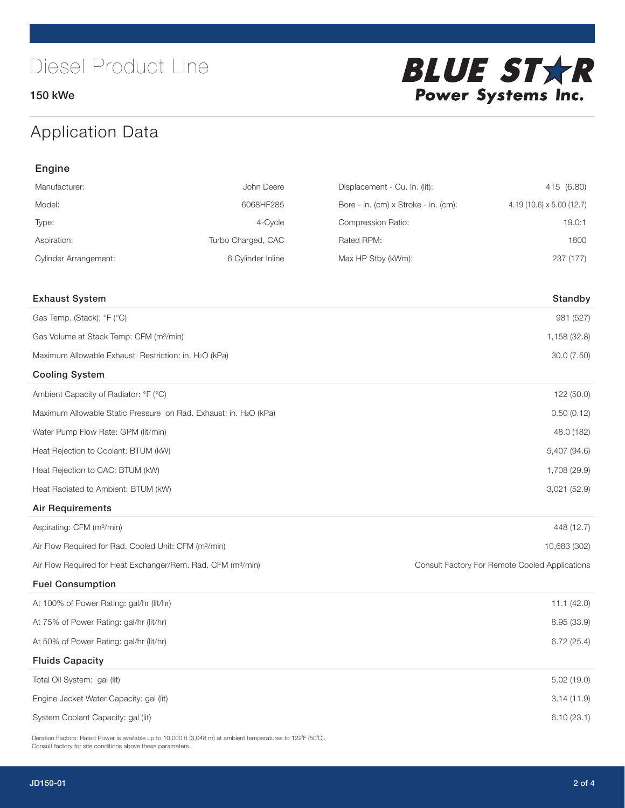150 kWe



# Application Data

| Engine                                                                   |                    |                                      |                                                |
|--------------------------------------------------------------------------|--------------------|--------------------------------------|------------------------------------------------|
| Manufacturer:                                                            | John Deere         | Displacement - Cu. In. (lit):        | 415 (6.80)                                     |
| Model:                                                                   | 6068HF285          | Bore - in. (cm) x Stroke - in. (cm): | 4.19 (10.6) x 5.00 (12.7)                      |
| Type:                                                                    | 4-Cycle            | Compression Ratio:                   | 19.0:1                                         |
| Aspiration:                                                              | Turbo Charged, CAC | Rated RPM:                           | 1800                                           |
| <b>Cylinder Arrangement:</b>                                             | 6 Cylinder Inline  | Max HP Stby (kWm):                   | 237 (177)                                      |
| <b>Exhaust System</b>                                                    |                    |                                      | Standby                                        |
| Gas Temp. (Stack): °F (°C)                                               |                    |                                      | 981 (527)                                      |
| Gas Volume at Stack Temp: CFM (m <sup>3</sup> /min)                      |                    |                                      | 1,158 (32.8)                                   |
| Maximum Allowable Exhaust Restriction: in. H2O (kPa)                     |                    |                                      | 30.0 (7.50)                                    |
| <b>Cooling System</b>                                                    |                    |                                      |                                                |
| Ambient Capacity of Radiator: °F (°C)                                    |                    |                                      | 122 (50.0)                                     |
| Maximum Allowable Static Pressure on Rad. Exhaust: in. H2O (kPa)         |                    |                                      | 0.50(0.12)                                     |
| Water Pump Flow Rate: GPM (lit/min)                                      |                    |                                      | 48.0 (182)                                     |
| Heat Rejection to Coolant: BTUM (kW)                                     |                    |                                      | 5,407 (94.6)                                   |
| Heat Rejection to CAC: BTUM (kW)                                         |                    |                                      | 1,708 (29.9)                                   |
| Heat Radiated to Ambient: BTUM (kW)                                      |                    |                                      | 3,021 (52.9)                                   |
| <b>Air Requirements</b>                                                  |                    |                                      |                                                |
| Aspirating: CFM (m <sup>3</sup> /min)                                    |                    |                                      | 448 (12.7)                                     |
| Air Flow Required for Rad. Cooled Unit: CFM (m <sup>3</sup> /min)        |                    |                                      | 10,683 (302)                                   |
| Air Flow Required for Heat Exchanger/Rem. Rad. CFM (m <sup>3</sup> /min) |                    |                                      | Consult Factory For Remote Cooled Applications |
| <b>Fuel Consumption</b>                                                  |                    |                                      |                                                |
| At 100% of Power Rating: gal/hr (lit/hr)                                 |                    |                                      | 11.1(42.0)                                     |
| At 75% of Power Rating: gal/hr (lit/hr)                                  |                    |                                      | 8.95 (33.9)                                    |
| At 50% of Power Rating: gal/hr (lit/hr)                                  |                    |                                      | 6.72(25.4)                                     |
| <b>Fluids Capacity</b>                                                   |                    |                                      |                                                |
| Total Oil System: gal (lit)                                              |                    |                                      | 5.02(19.0)                                     |
| Engine Jacket Water Capacity: gal (lit)                                  |                    |                                      | 3.14(11.9)                                     |
| System Coolant Capacity: gal (lit)                                       |                    |                                      | 6.10(23.1)                                     |

Deration Factors: Rated Power is available up to 10,000 ft (3,048 m) at ambient temperatures to 122°F (50°C). Consult factory for site conditions above these parameters.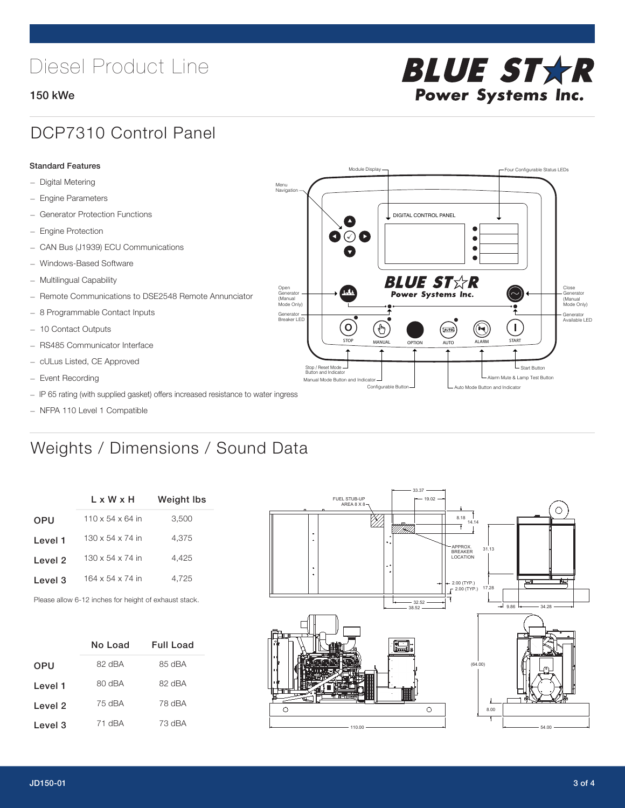# Diesel Product Line

#### 150 kWe



## DCP7310 Control Panel

#### Standard Features

- Digital Metering
- Engine Parameters
- Generator Protection Functions
- Engine Protection
- CAN Bus (J1939) ECU Communications
- Windows-Based Software
- Multilingual Capability
- Remote Communications to DSE2548 Remote Annunciator
- 8 Programmable Contact Inputs
- 10 Contact Outputs
- RS485 Communicator Interface
- cULus Listed, CE Approved
- Event Recording
- IP 65 rating (with supplied gasket) offers increased resistance to water ingress
- NFPA 110 Level 1 Compatible

## Weights / Dimensions / Sound Data

|                    | L x W x H                    | Weight Ibs |  |  |
|--------------------|------------------------------|------------|--|--|
| <b>OPU</b>         | $110 \times 54 \times 64$ in | 3,500      |  |  |
| Level 1            | $130 \times 54 \times 74$ in | 4,375      |  |  |
| Level 2            | $130 \times 54 \times 74$ in | 4.425      |  |  |
| Level <sub>3</sub> | 164 x 54 x 74 in             | 4.725      |  |  |
|                    |                              |            |  |  |

Please allow 6-12 inches for height of exhaust stack.

|            | No Load | <b>Full Load</b> |  |  |
|------------|---------|------------------|--|--|
| <b>OPU</b> | 82 dBA  | 85 dBA           |  |  |
| Level 1    | 80 dBA  | 82 dBA           |  |  |
| Level 2    | 75 dBA  | 78 dBA           |  |  |
| Level 3    | 71 dBA  | 73 dBA           |  |  |



STOP MANUAL OPTION AUTO ALARM START

[AUTO]

**BLUE STAR** Power Systems Inc.

Manual Mode Button and Indicator United States and Indicator United States and Indicator United States and Indicator United States and Indicator United States and Indicator United States and Indicator United States and Ind Configurable Button -  $\Box$  Auto Mode Button and Indicator

DIGITAL CONTROL PANEL

Module Display  $\Box$ 

 $\bullet$  $\bullet$  $\bullet$ 

 $\circledcirc$ 

Menu Navigation

Open Generator (Manual Mode Only)

Generator Breaker LED

Stop / Reset Mode Button and Indicator

 $\bullet$  $\bullet$   $\circ$   $\bullet$ 

 $\sigma$ 

՟Պ

Close Generator (Manual Mode Only)

Generator Available LED

L Start Button

 $\blacksquare$